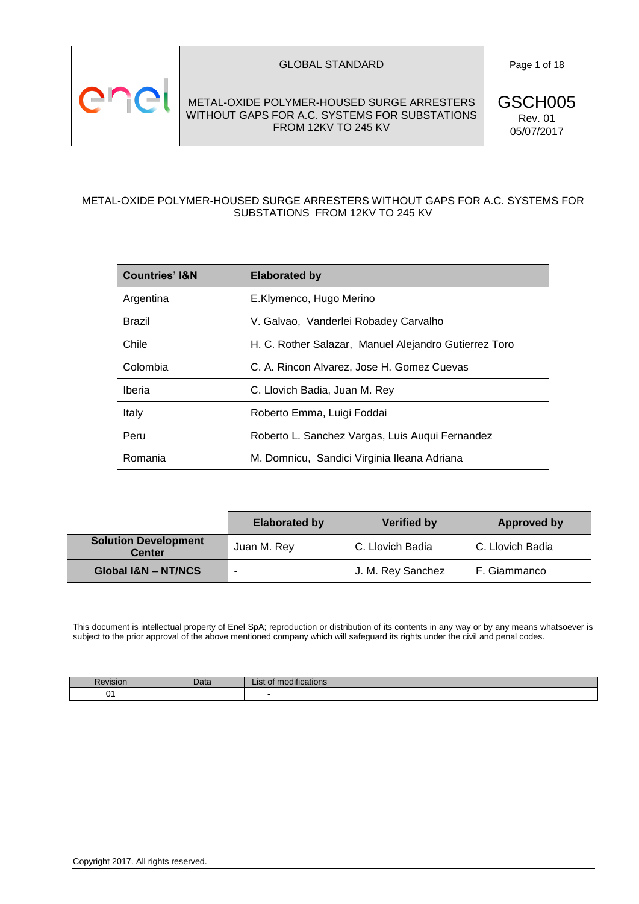

GSCH005 Rev. 01 05/07/2017

### METAL-OXIDE POLYMER-HOUSED SURGE ARRESTERS WITHOUT GAPS FOR A.C. SYSTEMS FOR SUBSTATIONS FROM 12KV TO 245 KV

| <b>Countries' I&amp;N</b> | <b>Elaborated by</b>                                  |
|---------------------------|-------------------------------------------------------|
| Argentina                 | E.Klymenco, Hugo Merino                               |
| Brazil                    | V. Galvao, Vanderlei Robadey Carvalho                 |
| Chile                     | H. C. Rother Salazar, Manuel Alejandro Gutierrez Toro |
| Colombia                  | C. A. Rincon Alvarez, Jose H. Gomez Cuevas            |
| Iberia                    | C. Llovich Badia, Juan M. Rey                         |
| Italy                     | Roberto Emma, Luigi Foddai                            |
| Peru                      | Roberto L. Sanchez Vargas, Luis Auqui Fernandez       |
| Romania                   | M. Domnicu, Sandici Virginia Ileana Adriana           |

|                                              | <b>Elaborated by</b> | <b>Verified by</b> | <b>Approved by</b> |
|----------------------------------------------|----------------------|--------------------|--------------------|
| <b>Solution Development</b><br><b>Center</b> | Juan M. Rey          | C. Llovich Badia   | C. Llovich Badia   |
| Global I&N - NT/NCS                          |                      | J. M. Rey Sanchez  | F. Giammanco       |

This document is intellectual property of Enel SpA; reproduction or distribution of its contents in any way or by any means whatsoever is subject to the prior approval of the above mentioned company which will safeguard its rights under the civil and penal codes.

| VISIO | Dald | 11.41<br>OF MOQINGations<br>∽ا⊂ا≟ |
|-------|------|-----------------------------------|
| ъ.    |      |                                   |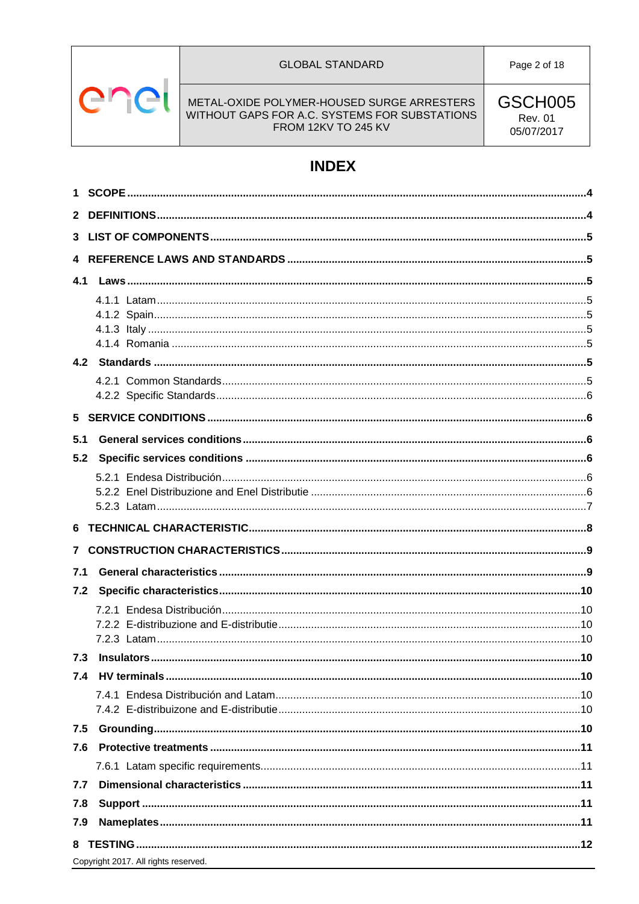

#### **GLOBAL STANDARD**

Page 2 of 18

METAL-OXIDE POLYMER-HOUSED SURGE ARRESTERS WITHOUT GAPS FOR A.C. SYSTEMS FOR SUBSTATIONS<br>FROM 12KV TO 245 KV GSCH005 **Rev. 01** 05/07/2017

# **INDEX**

| 3   |                                      |  |
|-----|--------------------------------------|--|
|     |                                      |  |
|     |                                      |  |
|     |                                      |  |
|     |                                      |  |
|     |                                      |  |
|     |                                      |  |
|     |                                      |  |
|     |                                      |  |
|     |                                      |  |
|     |                                      |  |
| 5.1 |                                      |  |
| 5.2 |                                      |  |
|     |                                      |  |
|     |                                      |  |
|     |                                      |  |
|     |                                      |  |
|     |                                      |  |
| 7.1 |                                      |  |
| 7.2 |                                      |  |
|     |                                      |  |
|     |                                      |  |
|     |                                      |  |
| 7.3 |                                      |  |
|     |                                      |  |
|     |                                      |  |
|     |                                      |  |
| 7.5 |                                      |  |
| 7.6 |                                      |  |
|     |                                      |  |
| 7.7 |                                      |  |
| 7.8 |                                      |  |
| 7.9 |                                      |  |
| 8   |                                      |  |
|     | Copyright 2017. All rights reserved. |  |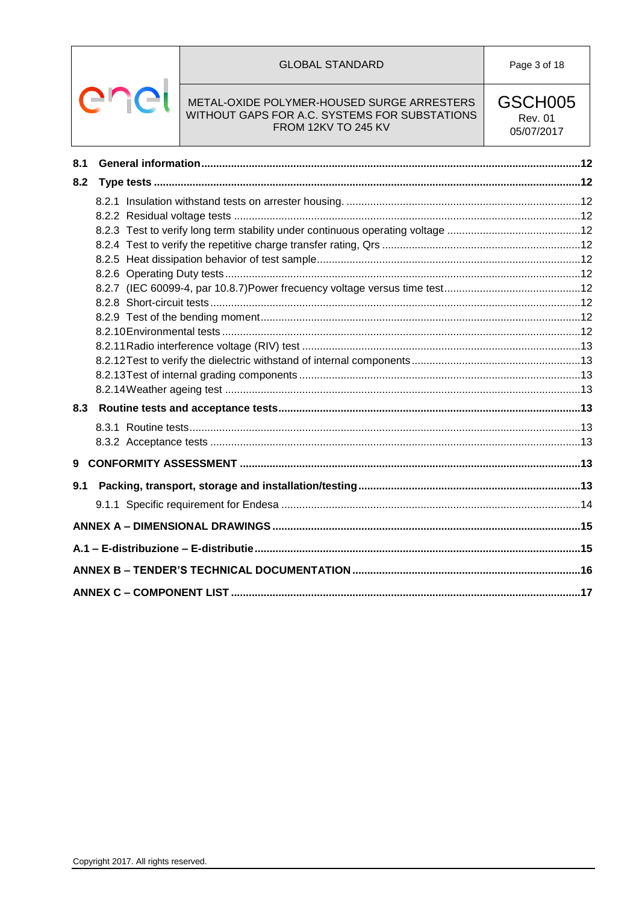#### **GLOBAL STANDARD**



#### METAL-OXIDE POLYMER-HOUSED SURGE ARRESTERS WITHOUT GAPS FOR A.C. SYSTEMS FOR SUBSTATIONS FROM 12KV TO 245 KV

GSCH005 **Rev. 01** 05/07/2017

| 8.1 |  |
|-----|--|
| 8.2 |  |
|     |  |
|     |  |
|     |  |
|     |  |
|     |  |
|     |  |
|     |  |
|     |  |
|     |  |
|     |  |
|     |  |
|     |  |
|     |  |
|     |  |
| 8.3 |  |
|     |  |
|     |  |
| 9   |  |
| 9.1 |  |
|     |  |
|     |  |
|     |  |
|     |  |
|     |  |
|     |  |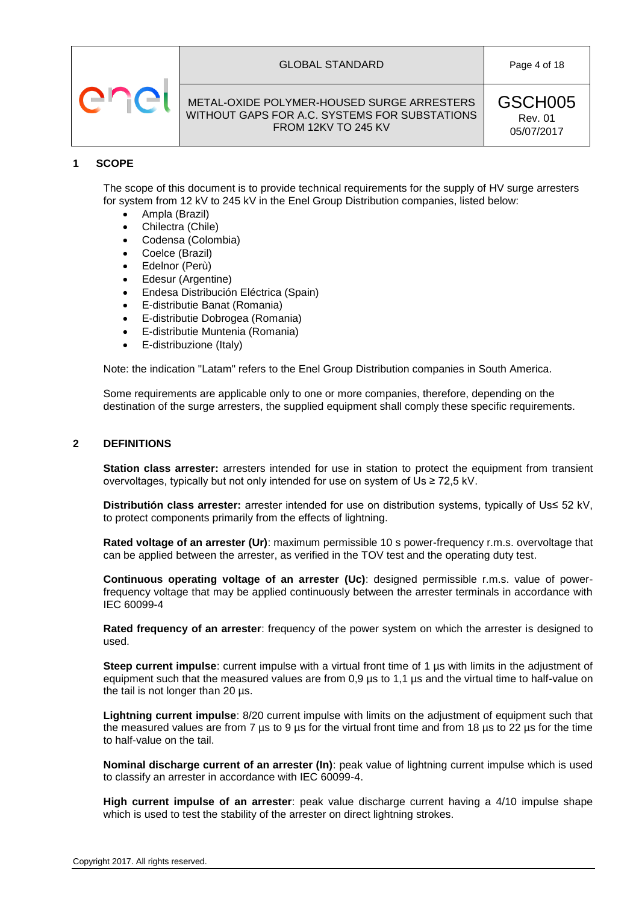



GSCH005 Rev. 01 05/07/2017

#### <span id="page-3-0"></span>**1 SCOPE**

The scope of this document is to provide technical requirements for the supply of HV surge arresters for system from 12 kV to 245 kV in the Enel Group Distribution companies, listed below:

- Ampla (Brazil)
- Chilectra (Chile)
- Codensa (Colombia)
- Coelce (Brazil)
- Edelnor (Perù)
- Edesur (Argentine)
- Endesa Distribución Eléctrica (Spain)
- E-distributie Banat (Romania)
- E-distributie Dobrogea (Romania)
- E-distributie Muntenia (Romania)
- E-distribuzione (Italy)

Note: the indication "Latam" refers to the Enel Group Distribution companies in South America.

Some requirements are applicable only to one or more companies, therefore, depending on the destination of the surge arresters, the supplied equipment shall comply these specific requirements.

#### <span id="page-3-1"></span>**2 DEFINITIONS**

**Station class arrester:** arresters intended for use in station to protect the equipment from transient overvoltages, typically but not only intended for use on system of Us ≥ 72,5 kV.

**Distributión class arrester:** arrester intended for use on distribution systems, typically of Us≤ 52 kV, to protect components primarily from the effects of lightning.

**Rated voltage of an arrester (Ur)**: maximum permissible 10 s power-frequency r.m.s. overvoltage that can be applied between the arrester, as verified in the TOV test and the operating duty test.

**Continuous operating voltage of an arrester (Uc)**: designed permissible r.m.s. value of powerfrequency voltage that may be applied continuously between the arrester terminals in accordance with IEC 60099-4

**Rated frequency of an arrester**: frequency of the power system on which the arrester is designed to used.

**Steep current impulse**: current impulse with a virtual front time of 1 µs with limits in the adjustment of equipment such that the measured values are from 0,9 µs to 1,1 µs and the virtual time to half-value on the tail is not longer than 20 µs.

**Lightning current impulse**: 8/20 current impulse with limits on the adjustment of equipment such that the measured values are from 7  $\mu$ s to 9  $\mu$ s for the virtual front time and from 18  $\mu$ s to 22  $\mu$ s for the time to half-value on the tail.

**Nominal discharge current of an arrester (In)**: peak value of lightning current impulse which is used to classify an arrester in accordance with IEC 60099-4.

**High current impulse of an arrester**: peak value discharge current having a 4/10 impulse shape which is used to test the stability of the arrester on direct lightning strokes.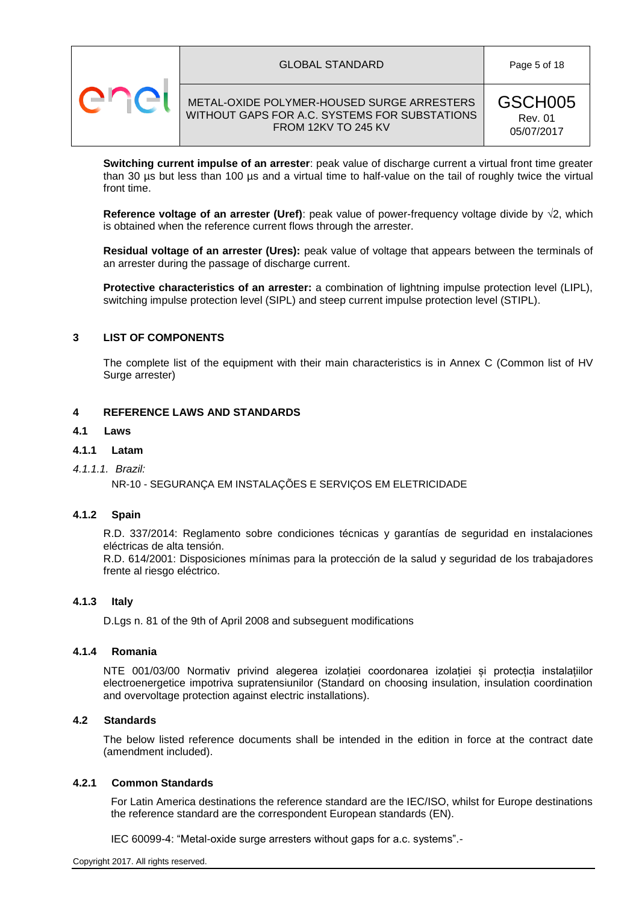



GSCH005 Rev. 01 05/07/2017

**Switching current impulse of an arrester**: peak value of discharge current a virtual front time greater than 30 us but less than 100 us and a virtual time to half-value on the tail of roughly twice the virtual front time.

**Reference voltage of an arrester (Uref)**: peak value of power-frequency voltage divide by  $\sqrt{2}$ , which is obtained when the reference current flows through the arrester.

**Residual voltage of an arrester (Ures):** peak value of voltage that appears between the terminals of an arrester during the passage of discharge current.

**Protective characteristics of an arrester:** a combination of lightning impulse protection level (LIPL), switching impulse protection level (SIPL) and steep current impulse protection level (STIPL).

#### <span id="page-4-0"></span>**3 LIST OF COMPONENTS**

The complete list of the equipment with their main characteristics is in Annex C (Common list of HV Surge arrester)

#### <span id="page-4-1"></span>**4 REFERENCE LAWS AND STANDARDS**

#### <span id="page-4-2"></span>**4.1 Laws**

# <span id="page-4-3"></span>**4.1.1 Latam**

*4.1.1.1. Brazil:* 

NR-10 - SEGURANÇA EM INSTALAÇÕES E SERVIÇOS EM ELETRICIDADE

#### <span id="page-4-4"></span>**4.1.2 Spain**

R.D. 337/2014: Reglamento sobre condiciones técnicas y garantías de seguridad en instalaciones eléctricas de alta tensión.

R.D. 614/2001: Disposiciones mínimas para la protección de la salud y seguridad de los trabajadores frente al riesgo eléctrico.

#### <span id="page-4-5"></span>**4.1.3 Italy**

D.Lgs n. 81 of the 9th of April 2008 and subseguent modifications

#### <span id="page-4-6"></span>**4.1.4 Romania**

NTE 001/03/00 Normativ privind alegerea izolației coordonarea izolației și protecția instalațiilor electroenergetice impotriva supratensiunilor (Standard on choosing insulation, insulation coordination and overvoltage protection against electric installations).

#### <span id="page-4-7"></span>**4.2 Standards**

The below listed reference documents shall be intended in the edition in force at the contract date (amendment included).

# <span id="page-4-8"></span>**4.2.1 Common Standards**

For Latin America destinations the reference standard are the IEC/ISO, whilst for Europe destinations the reference standard are the correspondent European standards (EN).

IEC 60099-4: "Metal-oxide surge arresters without gaps for a.c. systems".-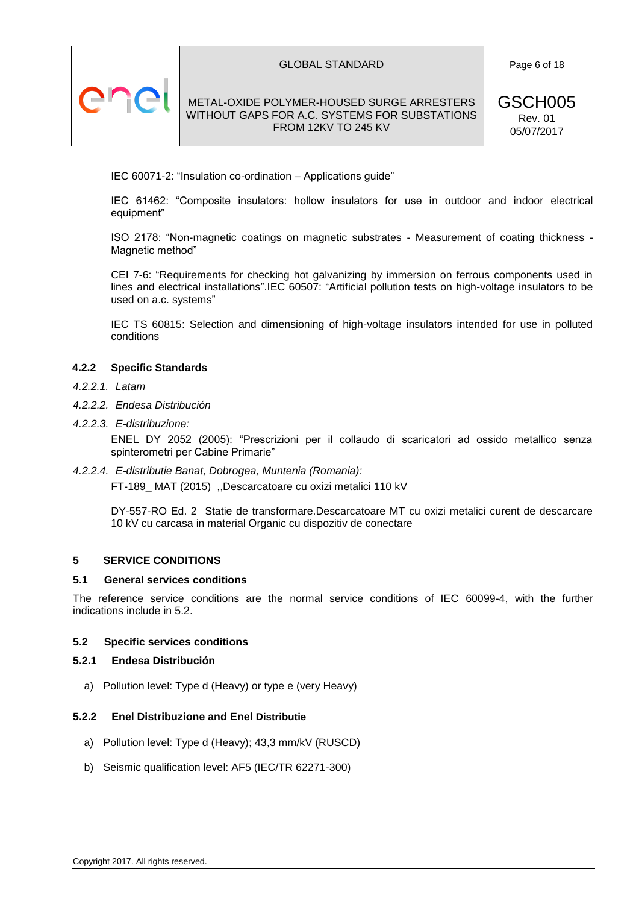

#### GLOBAL STANDARD Page 6 of 18

# METAL-OXIDE POLYMER-HOUSED SURGE ARRESTERS WITHOUT GAPS FOR A.C. SYSTEMS FOR SUBSTATIONS FROM 12KV TO 245 KV

IEC 60071-2: "Insulation co-ordination – Applications guide"

IEC 61462: "Composite insulators: hollow insulators for use in outdoor and indoor electrical equipment"

ISO 2178: "Non-magnetic coatings on magnetic substrates - Measurement of coating thickness - Magnetic method"

CEI 7-6: "Requirements for checking hot galvanizing by immersion on ferrous components used in lines and electrical installations".IEC 60507: "Artificial pollution tests on high-voltage insulators to be used on a.c. systems"

IEC TS 60815: Selection and dimensioning of high-voltage insulators intended for use in polluted conditions

#### <span id="page-5-0"></span>**4.2.2 Specific Standards**

- *4.2.2.1. Latam*
- *4.2.2.2. Endesa Distribución*
- *4.2.2.3. E-distribuzione:*

ENEL DY 2052 (2005): "Prescrizioni per il collaudo di scaricatori ad ossido metallico senza spinterometri per Cabine Primarie"

#### *4.2.2.4. E-distributie Banat, Dobrogea, Muntenia (Romania):*

FT-189\_ MAT (2015) ,,Descarcatoare cu oxizi metalici 110 kV

DY-557-RO Ed. 2 Statie de transformare.Descarcatoare MT cu oxizi metalici curent de descarcare 10 kV cu carcasa in material Organic cu dispozitiv de conectare

#### <span id="page-5-1"></span>**5 SERVICE CONDITIONS**

#### <span id="page-5-2"></span>**5.1 General services conditions**

The reference service conditions are the normal service conditions of IEC 60099-4, with the further indications include in 5.2.

#### <span id="page-5-3"></span>**5.2 Specific services conditions**

#### <span id="page-5-4"></span>**5.2.1 Endesa Distribución**

a) Pollution level: Type d (Heavy) or type e (very Heavy)

#### <span id="page-5-5"></span>**5.2.2 Enel Distribuzione and Enel Distributie**

- a) Pollution level: Type d (Heavy); 43,3 mm/kV (RUSCD)
- b) Seismic qualification level: AF5 (IEC/TR 62271-300)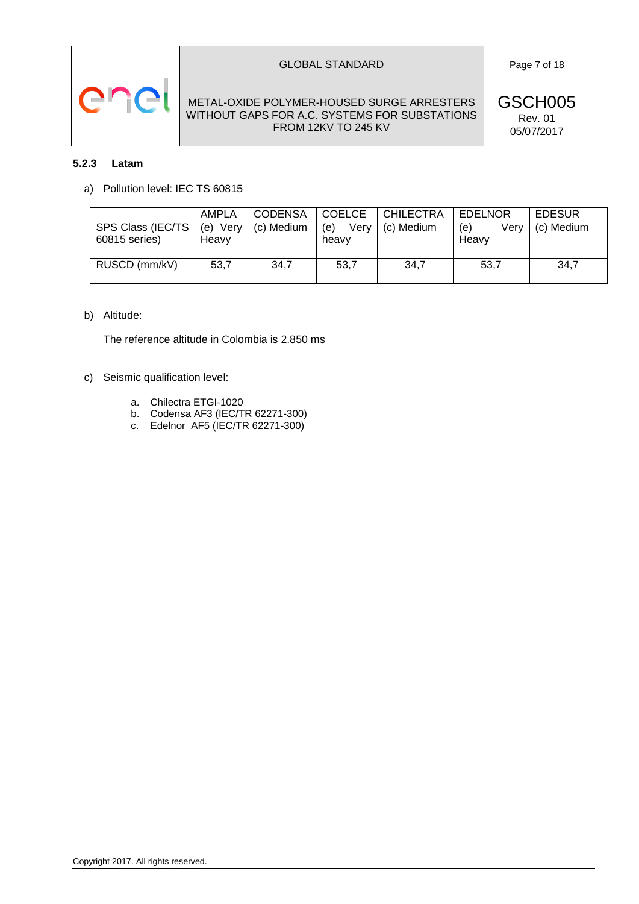

#### GLOBAL STANDARD Page 7 of 18

# METAL-OXIDE POLYMER-HOUSED SURGE ARRESTERS WITHOUT GAPS FOR A.C. SYSTEMS FOR SUBSTATIONS FROM 12KV TO 245 KV

GSCH005 Rev. 01 05/07/2017

# <span id="page-6-0"></span>**5.2.3 Latam**

a) Pollution level: IEC TS 60815

|                                    | <b>AMPLA</b>         | <b>CODENSA</b> | <b>COELCE</b>        | <b>CHILECTRA</b> | <b>EDELNOR</b>       | <b>EDESUR</b> |
|------------------------------------|----------------------|----------------|----------------------|------------------|----------------------|---------------|
| SPS Class (IEC/TS<br>60815 series) | Very<br>(e)<br>Heavv | (c) Medium     | Verv<br>(e)<br>heavy | (c) Medium       | Verv<br>(e)<br>Heavy | (c) Medium    |
| RUSCD (mm/kV)                      | 53,7                 | 34,7           | 53,7                 | 34,7             | 53,7                 | 34.7          |

# b) Altitude:

The reference altitude in Colombia is 2.850 ms

- c) Seismic qualification level:
	- a. Chilectra ETGI-1020
	- b. Codensa AF3 (IEC/TR 62271-300)
	- c. Edelnor AF5 (IEC/TR 62271-300)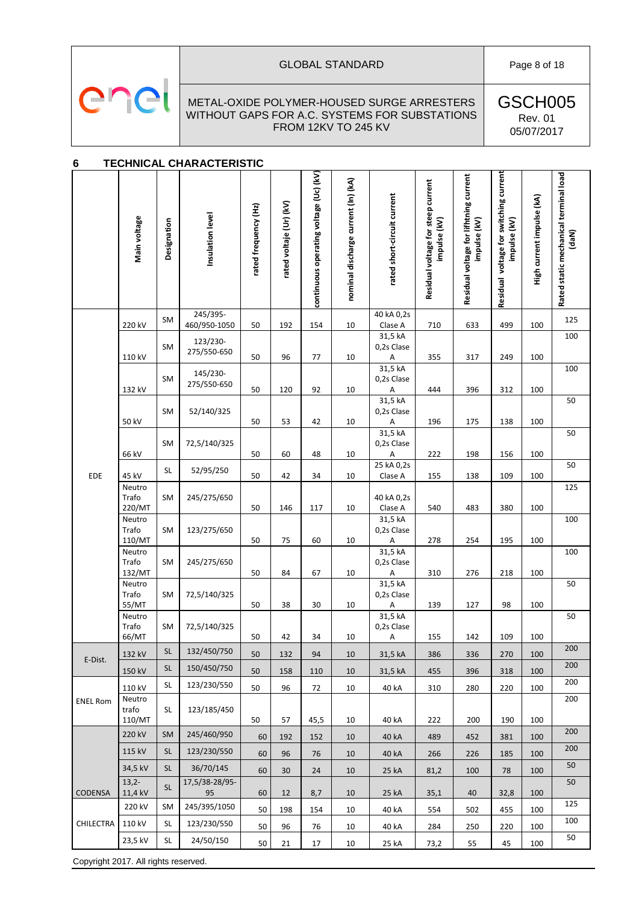

# GLOBAL STANDARD Page 8 of 18

#### METAL-OXIDE POLYMER-HOUSED SURGE ARRESTERS WITHOUT GAPS FOR A.C. SYSTEMS FOR SUBSTATIONS FROM 12KV TO 245 KV

GSCH005 Rev. 01 05/07/2017

# <span id="page-7-0"></span>**6 TECHNICAL CHARACTERISTIC**

|                 | Main voltage                        | Designation     | Insulation level           | rated frequency (Hz) | rated voltaje (Ur) (kV) | continuous operating voltage (Uc) (kV) | nominal discharge current (In) (kA) | rated short-circuit current                        | Residual voltage for steep current<br>impulse (kV) | Residual voltage for lifhtning current<br>impulse (kV) | Residual voltage for switching current<br>impulse (kV) | High current impulse (kA) | Rated static mechanical terminal load<br>(daN) |
|-----------------|-------------------------------------|-----------------|----------------------------|----------------------|-------------------------|----------------------------------------|-------------------------------------|----------------------------------------------------|----------------------------------------------------|--------------------------------------------------------|--------------------------------------------------------|---------------------------|------------------------------------------------|
|                 | 220 kV                              | SM              | 245/395-<br>460/950-1050   | 50                   | 192                     | 154                                    | 10                                  | 40 kA 0,2s<br>Clase A                              | 710                                                | 633                                                    | 499                                                    | 100                       | 125                                            |
|                 | 110 kV                              | SM              | 123/230-<br>275/550-650    | 50                   | 96                      | 77                                     | 10                                  | 31,5 kA<br>0,2s Clase<br>Α                         | 355                                                | 317                                                    | 249                                                    | 100                       | 100                                            |
|                 | 132 kV                              | SM              | 145/230-<br>275/550-650    | 50                   | 120                     | 92                                     | 10                                  | 31,5 kA<br>0,2s Clase<br>Α                         | 444                                                | 396                                                    | 312                                                    | 100                       | 100                                            |
|                 | 50 kV                               | SM              | 52/140/325                 | 50                   | 53                      | 42                                     | 10                                  | 31,5 kA<br>0,2s Clase<br>Α                         | 196                                                | 175                                                    | 138                                                    | 100                       | 50                                             |
|                 | 66 kV                               | <b>SM</b>       | 72,5/140/325               | 50                   | 60                      | 48                                     | 10                                  | 31,5 kA<br>0,2s Clase<br>А                         | 222                                                | 198                                                    | 156                                                    | 100                       | 50                                             |
| EDE             | 45 kV                               | <b>SL</b>       | 52/95/250                  | 50                   | 42                      | 34                                     | 10                                  | 25 kA 0,2s<br>Clase A                              | 155                                                | 138                                                    | 109                                                    | 100                       | 50                                             |
|                 | Neutro<br>Trafo<br>220/MT           | SM              | 245/275/650                | 50                   | 146                     | 117                                    | 10                                  | 40 kA 0,2s<br>Clase A                              | 540                                                | 483                                                    | 380                                                    | 100                       | 125                                            |
|                 | Neutro<br>Trafo<br>110/MT           | SM              | 123/275/650                | 50                   | 75                      | 60                                     | 10                                  | 31,5 kA<br>0,2s Clase<br>A                         | 278                                                | 254                                                    | 195                                                    | 100                       | 100                                            |
|                 | Neutro<br>Trafo<br>132/MT           | SM              | 245/275/650                | 50                   | 84                      | 67                                     | 10                                  | 31,5 kA<br>0,2s Clase<br>Α                         | 310                                                | 276                                                    | 218                                                    | 100                       | 100                                            |
|                 | Neutro<br>Trafo<br>55/MT            | SM              | 72,5/140/325               | 50                   | 38                      | 30                                     | 10                                  | 31,5 kA<br>0,2s Clase<br>А                         | 139                                                | 127                                                    | 98                                                     | 100                       | 50                                             |
|                 | Neutro<br>Trafo<br>66/MT            | SM              | 72,5/140/325               | 50                   | 42                      | 34                                     | 10                                  | 31,5 kA<br>0,2s Clase<br>$\boldsymbol{\mathsf{A}}$ | 155                                                | 142                                                    | 109                                                    | 100                       | 50                                             |
| E-Dist.         | 132 kV                              | <b>SL</b>       | 132/450/750                | 50                   | 132                     | 94                                     | 10                                  | 31,5 kA                                            | 386                                                | 336                                                    | 270                                                    | 100                       | 200                                            |
|                 | 150 kV                              | <b>SL</b>       | 150/450/750                | 50                   | 158                     | 110                                    | 10                                  | 31,5 kA                                            | 455                                                | 396                                                    | 318                                                    | 100                       | 200                                            |
| <b>ENEL Rom</b> | 110 kV<br>Neutro<br>trafo<br>110/MT | <b>SL</b><br>SL | 123/230/550<br>123/185/450 | 50<br>50             | 96<br>57                | 72<br>45,5                             | 10<br>10                            | 40 kA<br>40 kA                                     | 310<br>222                                         | 280<br>200                                             | 220<br>190                                             | 100<br>100                | 200<br>200                                     |
|                 | 220 kV                              | <b>SM</b>       | 245/460/950                | 60                   | 192                     | 152                                    | 10                                  | 40 kA                                              | 489                                                | 452                                                    | 381                                                    | 100                       | 200                                            |
|                 | 115 kV                              | <b>SL</b>       | 123/230/550                | 60                   | 96                      | 76                                     | 10                                  | 40 kA                                              | 266                                                | 226                                                    | 185                                                    | 100                       | 200                                            |
|                 | 34,5 kV                             | <b>SL</b>       | 36/70/145                  | 60                   | 30                      | 24                                     | 10                                  | 25 kA                                              | 81,2                                               | 100                                                    | 78                                                     | 100                       | 50                                             |
| <b>CODENSA</b>  | $13,2-$<br>11,4 kV                  | <b>SL</b>       | 17,5/38-28/95-<br>95       | 60                   | 12                      | 8,7                                    | 10                                  | 25 kA                                              | 35,1                                               | 40                                                     | 32,8                                                   | 100                       | 50                                             |
|                 | 220 kV                              | SM              | 245/395/1050               | 50                   | 198                     | 154                                    | 10                                  | 40 kA                                              | 554                                                | 502                                                    | 455                                                    | 100                       | 125                                            |
| CHILECTRA       | 110 kV                              | SL              | 123/230/550                | 50                   | 96                      | 76                                     | 10                                  | 40 kA                                              | 284                                                | 250                                                    | 220                                                    | 100                       | 100                                            |
|                 | 23,5 kV                             | <b>SL</b>       | 24/50/150                  | 50                   | 21                      | 17                                     | 10                                  | 25 kA                                              | 73,2                                               | 55                                                     | 45                                                     | 100                       | 50                                             |

Copyright 2017. All rights reserved.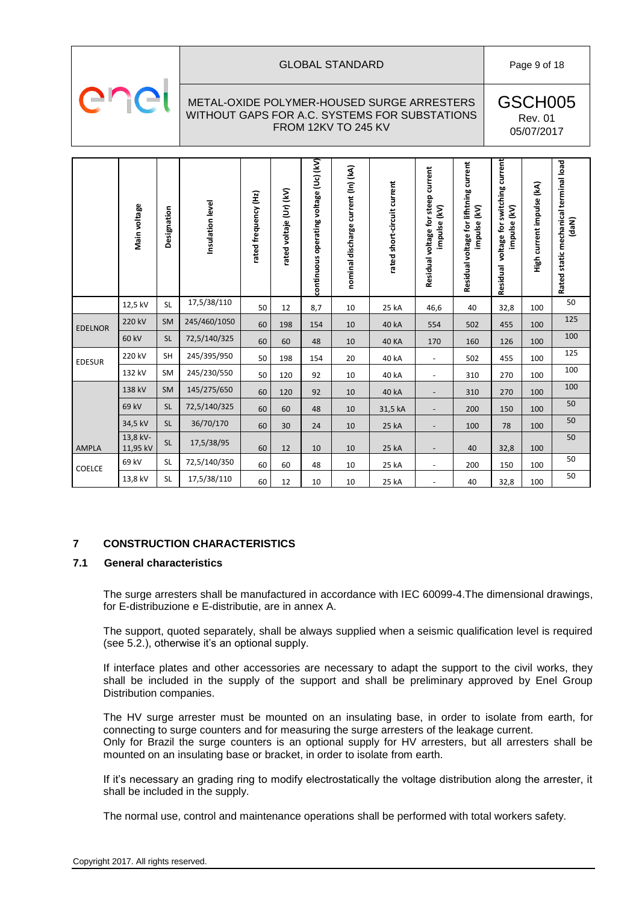

#### GLOBAL STANDARD **Page 9 of 18**

# METAL-OXIDE POLYMER-HOUSED SURGE ARRESTERS WITHOUT GAPS FOR A.C. SYSTEMS FOR SUBSTATIONS FROM 12KV TO 245 KV

GSCH005 Rev. 01 05/07/2017

|                                | Main voltage                                                                                                                                                                                                                                                                                                                                                                                                                                                                                                                                                                                                                                | Designation | Insulation level | rated frequency (Hz) | rated voltaje (Ur) (kV) | continuous operating voltage (Uc) (kV) | nominal discharge current (In) (kA) | rated short-circuit current | Residual voltage for steep current<br>impulse (kV) | Residual voltage for lifhtning current<br>impulse (kV) | Residual voltage for switching current<br>impulse (kV) | High current impulse (kA) | Rated static mechanical terminal load<br>(daN) |
|--------------------------------|---------------------------------------------------------------------------------------------------------------------------------------------------------------------------------------------------------------------------------------------------------------------------------------------------------------------------------------------------------------------------------------------------------------------------------------------------------------------------------------------------------------------------------------------------------------------------------------------------------------------------------------------|-------------|------------------|----------------------|-------------------------|----------------------------------------|-------------------------------------|-----------------------------|----------------------------------------------------|--------------------------------------------------------|--------------------------------------------------------|---------------------------|------------------------------------------------|
|                                | 12,5 kV                                                                                                                                                                                                                                                                                                                                                                                                                                                                                                                                                                                                                                     | <b>SL</b>   | 17,5/38/110      | 50                   | 12                      | 8,7                                    | 10                                  | 25 kA                       | 46,6                                               | 40                                                     | 32,8                                                   | 100                       | 50                                             |
| <b>EDELNOR</b>                 | 220 kV                                                                                                                                                                                                                                                                                                                                                                                                                                                                                                                                                                                                                                      | <b>SM</b>   | 245/460/1050     | 60                   | 198                     | 154                                    | 10                                  | 40 kA                       | 554                                                | 502                                                    | 455                                                    | 100                       | 125                                            |
|                                | 60 kV                                                                                                                                                                                                                                                                                                                                                                                                                                                                                                                                                                                                                                       | SL          | 72,5/140/325     | 60                   | 60                      | 48                                     | 10                                  | <b>40 KA</b>                | 170                                                | 160                                                    | 126                                                    | 100                       | 100                                            |
| <b>EDESUR</b>                  | 220 kV                                                                                                                                                                                                                                                                                                                                                                                                                                                                                                                                                                                                                                      | SH          | 245/395/950      | 50                   | 198                     | 154                                    | 20                                  | 40 kA                       | $\blacksquare$                                     | 502                                                    | 455                                                    | 100                       | 125                                            |
|                                | 132 kV                                                                                                                                                                                                                                                                                                                                                                                                                                                                                                                                                                                                                                      | SM          | 245/230/550      | 50                   | 120                     | 92                                     | 10                                  | 40 kA                       | $\blacksquare$                                     | 310                                                    | 270                                                    | 100                       | 100                                            |
|                                | 138 kV                                                                                                                                                                                                                                                                                                                                                                                                                                                                                                                                                                                                                                      | <b>SM</b>   | 145/275/650      | 60                   | 120                     | 92                                     | 10                                  | 40 kA                       |                                                    | 310                                                    | 270                                                    | 100                       | 100                                            |
|                                | 69 kV                                                                                                                                                                                                                                                                                                                                                                                                                                                                                                                                                                                                                                       | SL          | 72,5/140/325     | 60                   | 60                      | 48                                     | 10                                  | 31,5 kA                     |                                                    | 200                                                    | 150                                                    | 100                       | 50                                             |
|                                | 34,5 kV                                                                                                                                                                                                                                                                                                                                                                                                                                                                                                                                                                                                                                     | <b>SL</b>   | 36/70/170        | 60                   | 30                      | 24                                     | 10                                  | 25 kA                       | $\blacksquare$                                     | 100                                                    | 78                                                     | 100                       | 50                                             |
| <b>AMPLA</b>                   | 13,8 kV-<br>11,95 kV                                                                                                                                                                                                                                                                                                                                                                                                                                                                                                                                                                                                                        | SL          | 17,5/38/95       | 60                   | 12                      | 10                                     | 10                                  | 25 kA                       |                                                    | 40                                                     | 32,8                                                   | 100                       | 50                                             |
|                                | 69 kV                                                                                                                                                                                                                                                                                                                                                                                                                                                                                                                                                                                                                                       | SL          | 72,5/140/350     | 60                   | 60                      | 48                                     | 10                                  | 25 kA                       | $\blacksquare$                                     | 200                                                    | 150                                                    | 100                       | 50                                             |
| COELCE                         | 13,8 kV                                                                                                                                                                                                                                                                                                                                                                                                                                                                                                                                                                                                                                     | SL          | 17,5/38/110      | 60                   | 12                      | 10                                     | 10                                  | 25 kA                       |                                                    | 40                                                     | 32,8                                                   | 100                       | 50                                             |
| $\overline{\mathbf{7}}$<br>7.1 | <b>CONSTRUCTION CHARACTERISTICS</b><br><b>General characteristics</b><br>The surge arresters shall be manufactured in accordance with IEC 60099-4. The dimensional drawings<br>for E-distribuzione e E-distributie, are in annex A.<br>The support, quoted separately, shall be always supplied when a seismic qualification level is required<br>(see 5.2.), otherwise it's an optional supply.<br>If interface plates and other accessories are necessary to adapt the support to the civil works, they<br>shall be included in the supply of the support and shall be preliminary approved by Enel Group<br>Distribution companies.      |             |                  |                      |                         |                                        |                                     |                             |                                                    |                                                        |                                                        |                           |                                                |
|                                | The HV surge arrester must be mounted on an insulating base, in order to isolate from earth, fo<br>connecting to surge counters and for measuring the surge arresters of the leakage current.<br>Only for Brazil the surge counters is an optional supply for HV arresters, but all arresters shall be<br>mounted on an insulating base or bracket, in order to isolate from earth.<br>If it's necessary an grading ring to modify electrostatically the voltage distribution along the arrester, i<br>shall be included in the supply.<br>The normal use, control and maintenance operations shall be performed with total workers safety. |             |                  |                      |                         |                                        |                                     |                             |                                                    |                                                        |                                                        |                           |                                                |
|                                | Copyright 2017. All rights reserved.                                                                                                                                                                                                                                                                                                                                                                                                                                                                                                                                                                                                        |             |                  |                      |                         |                                        |                                     |                             |                                                    |                                                        |                                                        |                           |                                                |

# <span id="page-8-0"></span>**7 CONSTRUCTION CHARACTERISTICS**

#### <span id="page-8-1"></span>**7.1 General characteristics**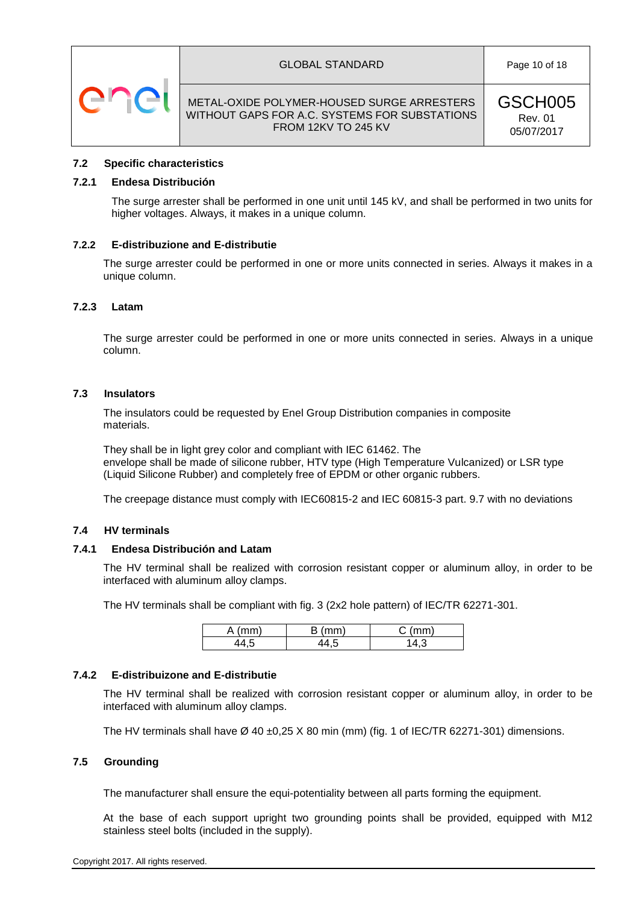





GSCH005 Rev. 01 05/07/2017

#### <span id="page-9-0"></span>**7.2 Specific characteristics**

#### <span id="page-9-1"></span>**7.2.1 Endesa Distribución**

The surge arrester shall be performed in one unit until 145 kV, and shall be performed in two units for higher voltages. Always, it makes in a unique column.

#### <span id="page-9-2"></span>**7.2.2 E-distribuzione and E-distributie**

The surge arrester could be performed in one or more units connected in series. Always it makes in a unique column.

#### <span id="page-9-3"></span>**7.2.3 Latam**

The surge arrester could be performed in one or more units connected in series. Always in a unique column.

#### <span id="page-9-4"></span>**7.3 Insulators**

The insulators could be requested by Enel Group Distribution companies in composite materials.

They shall be in light grey color and compliant with IEC 61462. The envelope shall be made of silicone rubber, HTV type (High Temperature Vulcanized) or LSR type (Liquid Silicone Rubber) and completely free of EPDM or other organic rubbers.

The creepage distance must comply with IEC60815-2 and IEC 60815-3 part. 9.7 with no deviations

#### <span id="page-9-5"></span>**7.4 HV terminals**

#### <span id="page-9-6"></span>**7.4.1 Endesa Distribución and Latam**

The HV terminal shall be realized with corrosion resistant copper or aluminum alloy, in order to be interfaced with aluminum alloy clamps.

The HV terminals shall be compliant with fig. 3 (2x2 hole pattern) of IEC/TR 62271-301.

| $\sim$ m | `~ | $\sim$ |
|----------|----|--------|
|          |    |        |

#### <span id="page-9-7"></span>**7.4.2 E-distribuizone and E-distributie**

The HV terminal shall be realized with corrosion resistant copper or aluminum alloy, in order to be interfaced with aluminum alloy clamps.

The HV terminals shall have  $\varnothing$  40 ±0,25 X 80 min (mm) (fig. 1 of IEC/TR 62271-301) dimensions.

#### <span id="page-9-8"></span>**7.5 Grounding**

The manufacturer shall ensure the equi-potentiality between all parts forming the equipment.

At the base of each support upright two grounding points shall be provided, equipped with M12 stainless steel bolts (included in the supply).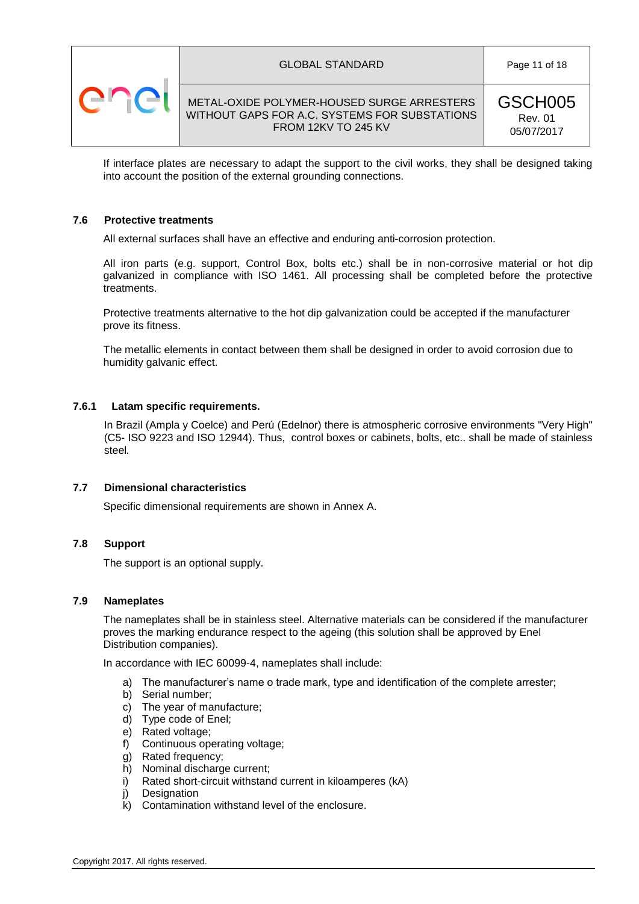



GSCH005 Rev. 01 05/07/2017

If interface plates are necessary to adapt the support to the civil works, they shall be designed taking into account the position of the external grounding connections.

#### <span id="page-10-0"></span>**7.6 Protective treatments**

All external surfaces shall have an effective and enduring anti-corrosion protection.

All iron parts (e.g. support, Control Box, bolts etc.) shall be in non-corrosive material or hot dip galvanized in compliance with ISO 1461. All processing shall be completed before the protective treatments.

Protective treatments alternative to the hot dip galvanization could be accepted if the manufacturer prove its fitness.

The metallic elements in contact between them shall be designed in order to avoid corrosion due to humidity galvanic effect.

#### <span id="page-10-1"></span>**7.6.1 Latam specific requirements.**

In Brazil (Ampla y Coelce) and Perú (Edelnor) there is atmospheric corrosive environments "Very High" (C5- ISO 9223 and ISO 12944). Thus, control boxes or cabinets, bolts, etc.. shall be made of stainless steel.

#### <span id="page-10-2"></span>**7.7 Dimensional characteristics**

Specific dimensional requirements are shown in Annex A.

#### <span id="page-10-3"></span>**7.8 Support**

The support is an optional supply.

#### <span id="page-10-4"></span>**7.9 Nameplates**

The nameplates shall be in stainless steel. Alternative materials can be considered if the manufacturer proves the marking endurance respect to the ageing (this solution shall be approved by Enel Distribution companies).

In accordance with IEC 60099-4, nameplates shall include:

- a) The manufacturer's name o trade mark, type and identification of the complete arrester;
- b) Serial number;
- c) The year of manufacture;
- d) Type code of Enel;
- e) Rated voltage;
- f) Continuous operating voltage;
- g) Rated frequency;
- h) Nominal discharge current;
- i) Rated short-circuit withstand current in kiloamperes (kA)
- j) Designation
- k) Contamination withstand level of the enclosure.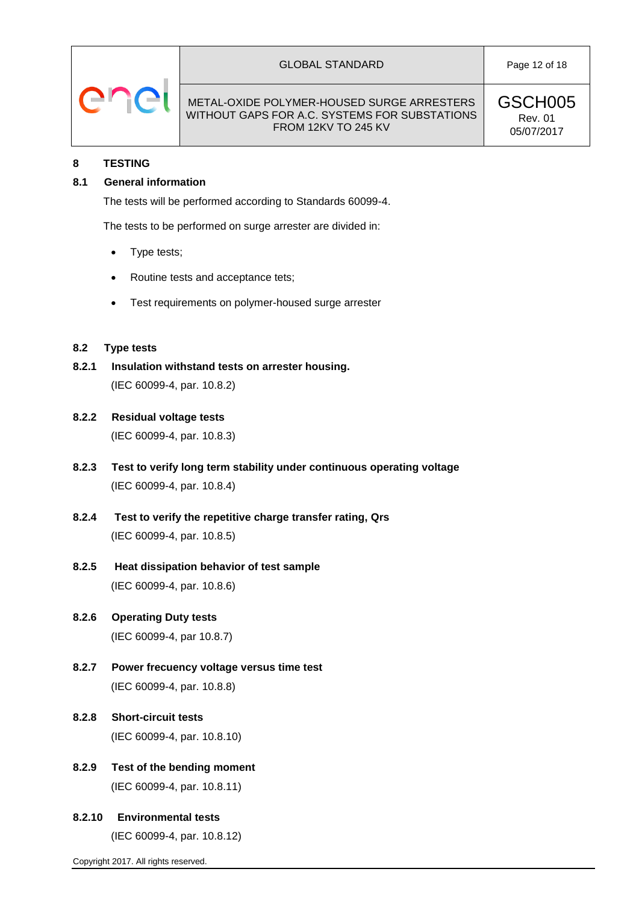

#### GLOBAL STANDARD **Page 12 of 18**

#### METAL-OXIDE POLYMER-HOUSED SURGE ARRESTERS WITHOUT GAPS FOR A.C. SYSTEMS FOR SUBSTATIONS FROM 12KV TO 245 KV

GSCH005 Rev. 01 05/07/2017

### <span id="page-11-0"></span>**8 TESTING**

# <span id="page-11-1"></span>**8.1 General information**

The tests will be performed according to Standards 60099-4.

The tests to be performed on surge arrester are divided in:

- Type tests;
- Routine tests and acceptance tets;
- Test requirements on polymer-housed surge arrester

#### <span id="page-11-2"></span>**8.2 Type tests**

- <span id="page-11-3"></span>**8.2.1 Insulation withstand tests on arrester housing.** (IEC 60099-4, par. 10.8.2)
- <span id="page-11-4"></span>**8.2.2 Residual voltage tests**

(IEC 60099-4, par. 10.8.3)

- <span id="page-11-5"></span>**8.2.3 Test to verify long term stability under continuous operating voltage** (IEC 60099-4, par. 10.8.4)
- <span id="page-11-6"></span>**8.2.4 Test to verify the repetitive charge transfer rating, Qrs** (IEC 60099-4, par. 10.8.5)
- <span id="page-11-7"></span>**8.2.5 Heat dissipation behavior of test sample** (IEC 60099-4, par. 10.8.6)
- <span id="page-11-9"></span><span id="page-11-8"></span>**8.2.6 Operating Duty tests** (IEC 60099-4, par 10.8.7)
- **8.2.7 Power frecuency voltage versus time test** (IEC 60099-4, par. 10.8.8)
- <span id="page-11-10"></span>**8.2.8 Short-circuit tests** (IEC 60099-4, par. 10.8.10)
- <span id="page-11-11"></span>**8.2.9 Test of the bending moment** (IEC 60099-4, par. 10.8.11)
- <span id="page-11-12"></span>**8.2.10 Environmental tests** (IEC 60099-4, par. 10.8.12)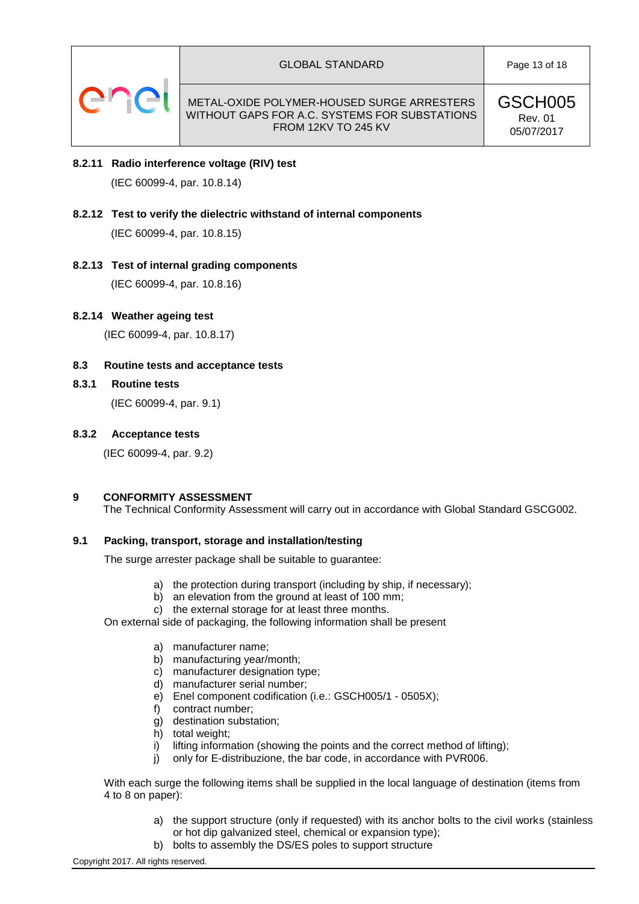

GSCH005 Rev. 01 05/07/2017

- <span id="page-12-0"></span>**8.2.11 Radio interference voltage (RIV) test** (IEC 60099-4, par. 10.8.14)
- <span id="page-12-1"></span>**8.2.12 Test to verify the dielectric withstand of internal components** (IEC 60099-4, par. 10.8.15)
- <span id="page-12-2"></span>**8.2.13 Test of internal grading components** (IEC 60099-4, par. 10.8.16)
- <span id="page-12-3"></span>**8.2.14 Weather ageing test**

(IEC 60099-4, par. 10.8.17)

# <span id="page-12-4"></span>**8.3 Routine tests and acceptance tests**

<span id="page-12-5"></span>**8.3.1 Routine tests**

(IEC 60099-4, par. 9.1)

#### <span id="page-12-6"></span>**8.3.2 Acceptance tests**

(IEC 60099-4, par. 9.2)

# <span id="page-12-7"></span>**9 CONFORMITY ASSESSMENT**

The Technical Conformity Assessment will carry out in accordance with Global Standard GSCG002.

#### <span id="page-12-8"></span>**9.1 Packing, transport, storage and installation/testing**

The surge arrester package shall be suitable to guarantee:

- a) the protection during transport (including by ship, if necessary);
- b) an elevation from the ground at least of 100 mm;
- c) the external storage for at least three months.

On external side of packaging, the following information shall be present

- a) manufacturer name;
- b) manufacturing year/month;
- c) manufacturer designation type;
- d) manufacturer serial number;
- e) Enel component codification (i.e.: GSCH005/1 0505X);
- f) contract number;
- g) destination substation;
- h) total weight;
- i) lifting information (showing the points and the correct method of lifting);
- j) only for E-distribuzione, the bar code, in accordance with PVR006.

With each surge the following items shall be supplied in the local language of destination (items from 4 to 8 on paper):

- a) the support structure (only if requested) with its anchor bolts to the civil works (stainless or hot dip galvanized steel, chemical or expansion type);
- b) bolts to assembly the DS/ES poles to support structure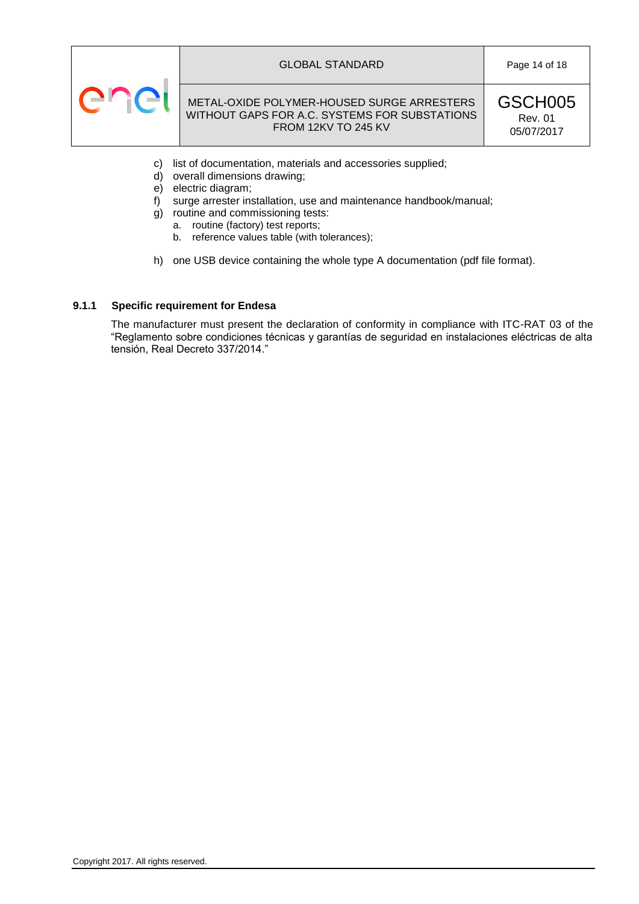

#### GLOBAL STANDARD **Page 14 of 18**

# METAL-OXIDE POLYMER-HOUSED SURGE ARRESTERS WITHOUT GAPS FOR A.C. SYSTEMS FOR SUBSTATIONS FROM 12KV TO 245 KV

GSCH005 Rev. 01 05/07/2017

- c) list of documentation, materials and accessories supplied;
- d) overall dimensions drawing;
- e) electric diagram;
- f) surge arrester installation, use and maintenance handbook/manual;
- g) routine and commissioning tests:
	- a. routine (factory) test reports;
	- b. reference values table (with tolerances);
- h) one USB device containing the whole type A documentation (pdf file format).

# <span id="page-13-0"></span>**9.1.1 Specific requirement for Endesa**

The manufacturer must present the declaration of conformity in compliance with ITC-RAT 03 of the "Reglamento sobre condiciones técnicas y garantías de seguridad en instalaciones eléctricas de alta tensión, Real Decreto 337/2014."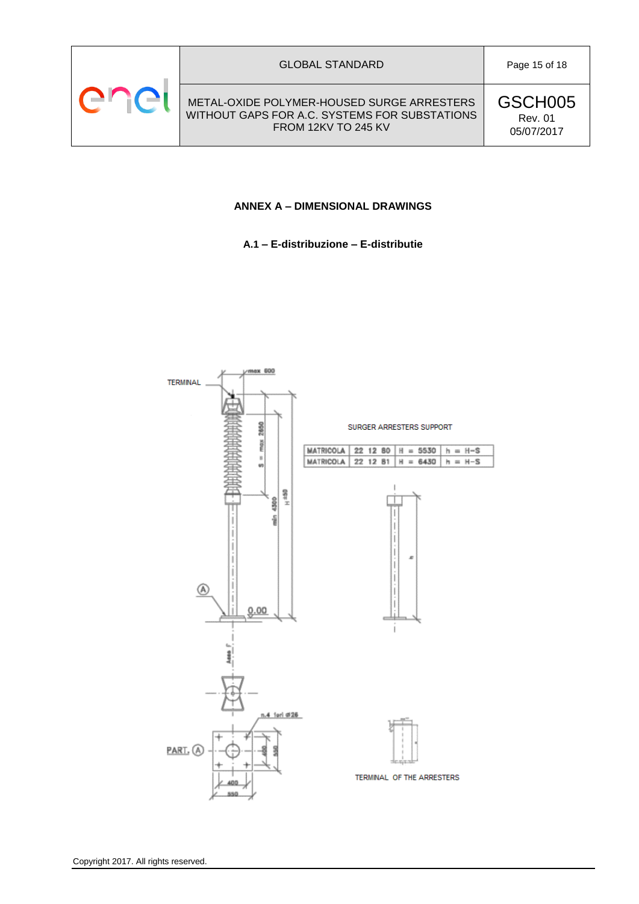<span id="page-14-0"></span>

#### GLOBAL STANDARD **Page 15 of 18**

METAL-OXIDE POLYMER-HOUSED SURGE ARRESTERS WITHOUT GAPS FOR A.C. SYSTEMS FOR SUBSTATIONS FROM 12KV TO 245 KV

GSCH005 Rev. 01 05/07/2017

# **ANNEX A – DIMENSIONAL DRAWINGS**

**A.1 – E-distribuzione – E-distributie**

<span id="page-14-1"></span>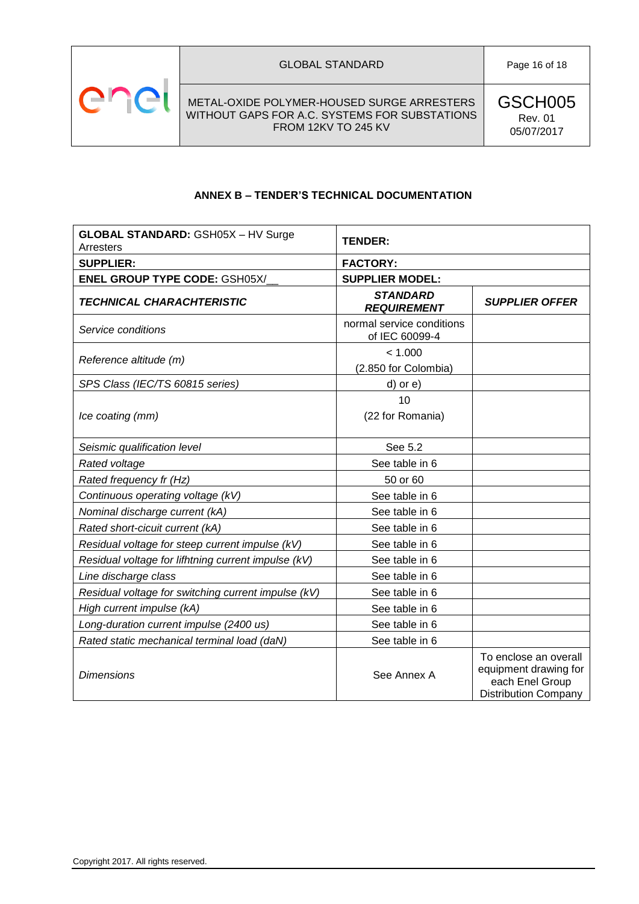

# **ANNEX B – TENDER'S TECHNICAL DOCUMENTATION**

<span id="page-15-0"></span>

| <b>GLOBAL STANDARD: GSH05X - HV Surge</b><br>Arresters | <b>TENDER:</b>                              |                                                                                                  |
|--------------------------------------------------------|---------------------------------------------|--------------------------------------------------------------------------------------------------|
| <b>SUPPLIER:</b>                                       | <b>FACTORY:</b>                             |                                                                                                  |
| <b>ENEL GROUP TYPE CODE: GSH05X/</b>                   | <b>SUPPLIER MODEL:</b>                      |                                                                                                  |
| <b>TECHNICAL CHARACHTERISTIC</b>                       | <b>STANDARD</b><br><b>REQUIREMENT</b>       | <b>SUPPLIER OFFER</b>                                                                            |
| Service conditions                                     | normal service conditions<br>of IEC 60099-4 |                                                                                                  |
| Reference altitude (m)                                 | < 1.000<br>(2.850 for Colombia)             |                                                                                                  |
| SPS Class (IEC/TS 60815 series)                        | d) or e)                                    |                                                                                                  |
|                                                        | 10                                          |                                                                                                  |
| Ice coating (mm)                                       | (22 for Romania)                            |                                                                                                  |
| Seismic qualification level                            | See 5.2                                     |                                                                                                  |
| Rated voltage                                          | See table in 6                              |                                                                                                  |
| Rated frequency fr (Hz)                                | 50 or 60                                    |                                                                                                  |
| Continuous operating voltage (kV)                      | See table in 6                              |                                                                                                  |
| Nominal discharge current (kA)                         | See table in 6                              |                                                                                                  |
| Rated short-cicuit current (kA)                        | See table in 6                              |                                                                                                  |
| Residual voltage for steep current impulse (kV)        | See table in 6                              |                                                                                                  |
| Residual voltage for lifhtning current impulse (kV)    | See table in 6                              |                                                                                                  |
| Line discharge class                                   | See table in 6                              |                                                                                                  |
| Residual voltage for switching current impulse (kV)    | See table in 6                              |                                                                                                  |
| High current impulse (kA)                              | See table in 6                              |                                                                                                  |
| Long-duration current impulse (2400 us)                | See table in 6                              |                                                                                                  |
| Rated static mechanical terminal load (daN)            | See table in 6                              |                                                                                                  |
| <b>Dimensions</b>                                      | See Annex A                                 | To enclose an overall<br>equipment drawing for<br>each Enel Group<br><b>Distribution Company</b> |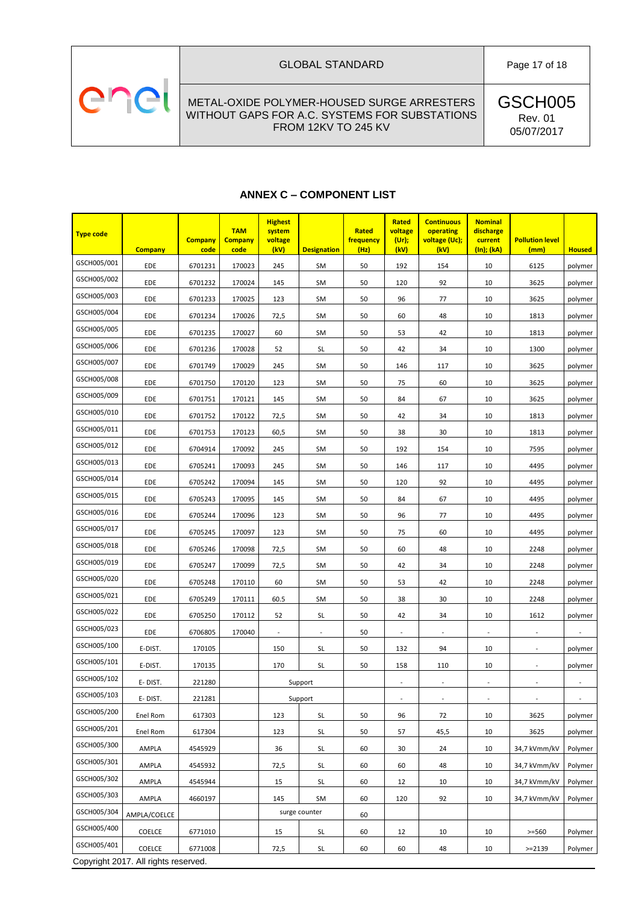# enel

METAL-OXIDE POLYMER-HOUSED SURGE ARRESTERS WITHOUT GAPS FOR A.C. SYSTEMS FOR SUBSTATIONS FROM 12KV TO 245 KV

GSCH005 Rev. 01 05/07/2017

# **ANNEX C – COMPONENT LIST**

<span id="page-16-0"></span>

| <b>Type code</b> | <b>Company</b>                       | <b>Company</b><br>code | <b>TAM</b><br><b>Company</b><br>code | <b>Highest</b><br>system<br>voltage<br>(kV) | <b>Designation</b>       | Rated<br>frequency<br>(Hz) | Rated<br>voltage<br>(Ur);<br>(kV) | <b>Continuous</b><br>operating<br>voltage (Uc);<br>(kV) | <b>Nominal</b><br>discharge<br>current<br>(In); (kA) | <b>Pollution level</b><br>(mm) | <b>Housed</b>            |
|------------------|--------------------------------------|------------------------|--------------------------------------|---------------------------------------------|--------------------------|----------------------------|-----------------------------------|---------------------------------------------------------|------------------------------------------------------|--------------------------------|--------------------------|
| GSCH005/001      | EDE                                  | 6701231                | 170023                               | 245                                         | SM                       | 50                         | 192                               | 154                                                     | 10                                                   | 6125                           | polymer                  |
| GSCH005/002      | EDE                                  | 6701232                | 170024                               | 145                                         | <b>SM</b>                | 50                         | 120                               | 92                                                      | 10                                                   | 3625                           | polymer                  |
| GSCH005/003      | EDE                                  | 6701233                | 170025                               | 123                                         | <b>SM</b>                | 50                         | 96                                | 77                                                      | 10                                                   | 3625                           | polymer                  |
| GSCH005/004      | EDE                                  | 6701234                | 170026                               | 72,5                                        | <b>SM</b>                | 50                         | 60                                | 48                                                      | 10                                                   | 1813                           | polymer                  |
| GSCH005/005      | EDE                                  | 6701235                | 170027                               | 60                                          | <b>SM</b>                | 50                         | 53                                | 42                                                      | 10                                                   | 1813                           | polymer                  |
| GSCH005/006      | EDE                                  | 6701236                | 170028                               | 52                                          | SL                       | 50                         | 42                                | 34                                                      | 10                                                   | 1300                           | polymer                  |
| GSCH005/007      | EDE                                  | 6701749                | 170029                               | 245                                         | <b>SM</b>                | 50                         | 146                               | 117                                                     | 10                                                   | 3625                           | polymer                  |
| GSCH005/008      | EDE                                  | 6701750                | 170120                               | 123                                         | <b>SM</b>                | 50                         | 75                                | 60                                                      | 10                                                   | 3625                           | polymer                  |
| GSCH005/009      | EDE                                  | 6701751                | 170121                               | 145                                         | <b>SM</b>                | 50                         | 84                                | 67                                                      | 10                                                   | 3625                           | polymer                  |
| GSCH005/010      | EDE                                  | 6701752                | 170122                               | 72,5                                        | <b>SM</b>                | 50                         | 42                                | 34                                                      | 10                                                   | 1813                           | polymer                  |
| GSCH005/011      | EDE                                  | 6701753                | 170123                               | 60,5                                        | <b>SM</b>                | 50                         | 38                                | 30                                                      | 10                                                   | 1813                           | polymer                  |
| GSCH005/012      | EDE                                  | 6704914                | 170092                               | 245                                         | <b>SM</b>                | 50                         | 192                               | 154                                                     | 10                                                   | 7595                           | polymer                  |
| GSCH005/013      | EDE                                  | 6705241                | 170093                               | 245                                         | <b>SM</b>                | 50                         | 146                               | 117                                                     | 10                                                   | 4495                           | polymer                  |
| GSCH005/014      | EDE                                  | 6705242                | 170094                               | 145                                         | <b>SM</b>                | 50                         | 120                               | 92                                                      | 10                                                   | 4495                           | polymer                  |
| GSCH005/015      | EDE                                  | 6705243                | 170095                               | 145                                         | <b>SM</b>                | 50                         | 84                                | 67                                                      | 10                                                   | 4495                           | polymer                  |
| GSCH005/016      | EDE                                  | 6705244                | 170096                               | 123                                         | <b>SM</b>                | 50                         | 96                                | 77                                                      | 10                                                   | 4495                           | polymer                  |
| GSCH005/017      | EDE                                  | 6705245                | 170097                               | 123                                         | <b>SM</b>                | 50                         | 75                                | 60                                                      | 10                                                   | 4495                           | polymer                  |
| GSCH005/018      | EDE                                  | 6705246                | 170098                               | 72,5                                        | <b>SM</b>                | 50                         | 60                                | 48                                                      | 10                                                   | 2248                           | polymer                  |
| GSCH005/019      | EDE                                  | 6705247                | 170099                               | 72,5                                        | <b>SM</b>                | 50                         | 42                                | 34                                                      | 10                                                   | 2248                           | polymer                  |
| GSCH005/020      | EDE                                  | 6705248                | 170110                               | 60                                          | <b>SM</b>                | 50                         | 53                                | 42                                                      | 10                                                   | 2248                           | polymer                  |
| GSCH005/021      | EDE                                  | 6705249                | 170111                               | 60.5                                        | <b>SM</b>                | 50                         | 38                                | 30                                                      | 10                                                   | 2248                           | polymer                  |
| GSCH005/022      | EDE                                  | 6705250                | 170112                               | 52                                          | <b>SL</b>                | 50                         | 42                                | 34                                                      | 10                                                   | 1612                           | polymer                  |
| GSCH005/023      | EDE                                  | 6706805                | 170040                               | $\overline{\phantom{a}}$                    | $\overline{\phantom{a}}$ | 50                         | $\overline{\phantom{a}}$          | $\overline{\phantom{a}}$                                | $\overline{\phantom{a}}$                             | $\overline{\phantom{a}}$       |                          |
| GSCH005/100      | E-DIST.                              | 170105                 |                                      | 150                                         | SL                       | 50                         | 132                               | 94                                                      | 10                                                   | $\overline{\phantom{a}}$       | polymer                  |
| GSCH005/101      | E-DIST.                              | 170135                 |                                      | 170                                         | <b>SL</b>                | 50                         | 158                               | 110                                                     | 10                                                   | $\overline{\phantom{a}}$       | polymer                  |
| GSCH005/102      | E-DIST.                              | 221280                 |                                      |                                             | Support                  |                            |                                   |                                                         | $\overline{\phantom{a}}$                             | $\overline{\phantom{a}}$       |                          |
| GSCH005/103      | E-DIST.                              | 221281                 |                                      |                                             | Support                  |                            | $\overline{\phantom{a}}$          | $\overline{\phantom{a}}$                                | $\Box$                                               | $\overline{\phantom{a}}$       | $\overline{\phantom{a}}$ |
| GSCH005/200      | Enel Rom                             | 617303                 |                                      | 123                                         | SL                       | 50                         | 96                                | 72                                                      | 10                                                   | 3625                           | polymer                  |
| GSCH005/201      | Enel Rom                             | 617304                 |                                      | 123                                         | SL                       | 50                         | 57                                | 45,5                                                    | $10\,$                                               | 3625                           | polymer                  |
| GSCH005/300      | AMPLA                                | 4545929                |                                      | 36                                          | SL                       | 60                         | 30                                | 24                                                      | 10                                                   | 34,7 kVmm/kV                   | Polymer                  |
| GSCH005/301      | AMPLA                                | 4545932                |                                      | 72,5                                        | SL                       | 60                         | 60                                | 48                                                      | 10                                                   | 34,7 kVmm/kV                   | Polymer                  |
| GSCH005/302      | AMPLA                                | 4545944                |                                      | 15                                          | SL                       | 60                         | 12                                | 10                                                      | 10                                                   | 34,7 kVmm/kV                   | Polymer                  |
| GSCH005/303      | AMPLA                                | 4660197                |                                      | 145                                         | SM                       | 60                         | 120                               | 92                                                      | 10                                                   | 34,7 kVmm/kV                   | Polymer                  |
| GSCH005/304      | AMPLA/COELCE                         |                        |                                      |                                             | surge counter            | 60                         |                                   |                                                         |                                                      |                                |                          |
| GSCH005/400      | <b>COELCE</b>                        | 6771010                |                                      | 15                                          | SL                       | 60                         | 12                                | 10                                                      | 10                                                   | $>= 560$                       | Polymer                  |
| GSCH005/401      | COELCE                               | 6771008                |                                      | 72,5                                        | SL                       | 60                         | 60                                | 48                                                      | 10                                                   | $>=2139$                       | Polymer                  |
|                  | Copyright 2017. All rights reserved. |                        |                                      |                                             |                          |                            |                                   |                                                         |                                                      |                                |                          |